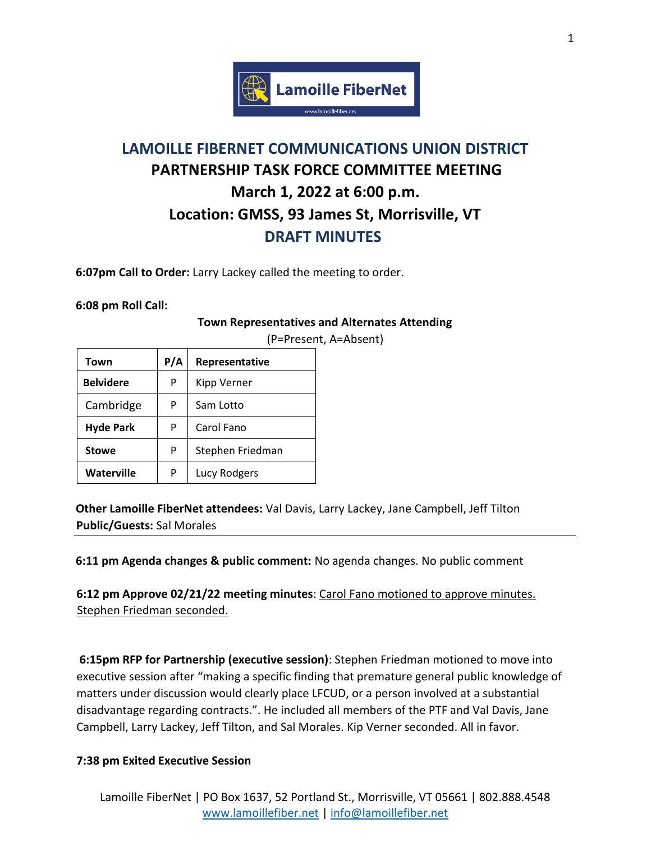

## **LAMOILLE FIBERNET COMMUNICATIONS UNION DISTRICT PARTNERSHIP TASK FORCE COMMITTEE MEETING March 1, 2022 at 6:00 p.m. Location: GMSS, 93 James St, Morrisville, VT DRAFT MINUTES**

**6:07pm Call to Order:** Larry Lackey called the meeting to order.

**6:08 pm Roll Call:** 

## **Town Representatives and Alternates Attending**

| Town              | P/A | Representative   |
|-------------------|-----|------------------|
| <b>Belvidere</b>  | P   | Kipp Verner      |
| Cambridge         | P   | Sam Lotto        |
| <b>Hyde Park</b>  | P   | Carol Fano       |
| <b>Stowe</b>      | P   | Stephen Friedman |
| <b>Waterville</b> | P   | Lucy Rodgers     |

(P=Present, A=Absent)

**Other Lamoille FiberNet attendees:** Val Davis, Larry Lackey, Jane Campbell, Jeff Tilton **Public/Guests:** Sal Morales

**6:11 pm Agenda changes & public comment:** No agenda changes. No public comment

**6:12 pm Approve 02/21/22 meeting minutes**: Carol Fano motioned to approve minutes. Stephen Friedman seconded.

**6:15pm RFP for Partnership (executive session)**: Stephen Friedman motioned to move into executive session after "making a specific finding that premature general public knowledge of matters under discussion would clearly place LFCUD, or a person involved at a substantial disadvantage regarding contracts.". He included all members of the PTF and Val Davis, Jane Campbell, Larry Lackey, Jeff Tilton, and Sal Morales. Kip Verner seconded. All in favor.

## **7:38 pm Exited Executive Session**